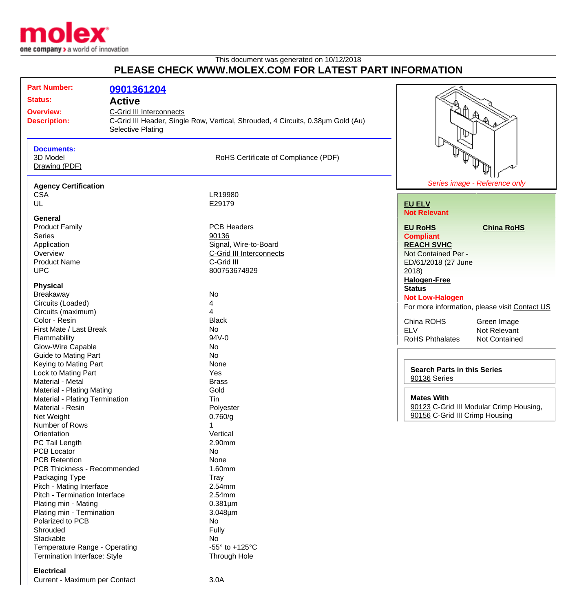

## This document was generated on 10/12/2018 **PLEASE CHECK WWW.MOLEX.COM FOR LATEST PART INFORMATION**

| <b>Part Number:</b>                     |                          |                                                                                 |                                                    |                                               |
|-----------------------------------------|--------------------------|---------------------------------------------------------------------------------|----------------------------------------------------|-----------------------------------------------|
|                                         | 0901361204               |                                                                                 |                                                    |                                               |
| <b>Status:</b>                          | <b>Active</b>            |                                                                                 |                                                    |                                               |
| <b>Overview:</b>                        | C-Grid III Interconnects |                                                                                 |                                                    |                                               |
| <b>Description:</b>                     |                          | C-Grid III Header, Single Row, Vertical, Shrouded, 4 Circuits, 0.38µm Gold (Au) |                                                    | ARA                                           |
|                                         | <b>Selective Plating</b> |                                                                                 |                                                    |                                               |
|                                         |                          |                                                                                 |                                                    |                                               |
| <b>Documents:</b>                       |                          |                                                                                 |                                                    |                                               |
| 3D Model                                |                          | RoHS Certificate of Compliance (PDF)                                            |                                                    |                                               |
| Drawing (PDF)                           |                          |                                                                                 |                                                    |                                               |
|                                         |                          |                                                                                 |                                                    |                                               |
| <b>Agency Certification</b>             |                          |                                                                                 |                                                    | Series image - Reference only                 |
| <b>CSA</b>                              |                          | LR19980                                                                         |                                                    |                                               |
| UL                                      |                          | E29179                                                                          | <b>EU ELV</b>                                      |                                               |
|                                         |                          |                                                                                 | <b>Not Relevant</b>                                |                                               |
| <b>General</b>                          |                          |                                                                                 |                                                    |                                               |
| <b>Product Family</b>                   |                          | <b>PCB Headers</b>                                                              | <b>EU RoHS</b>                                     | <b>China RoHS</b>                             |
| Series                                  |                          | 90136                                                                           | <b>Compliant</b>                                   |                                               |
| Application                             |                          | Signal, Wire-to-Board                                                           | <b>REACH SVHC</b>                                  |                                               |
| Overview                                |                          | C-Grid III Interconnects                                                        | Not Contained Per -                                |                                               |
| <b>Product Name</b>                     |                          | C-Grid III                                                                      | ED/61/2018 (27 June                                |                                               |
| <b>UPC</b>                              |                          | 800753674929                                                                    | 2018                                               |                                               |
|                                         |                          |                                                                                 | <b>Halogen-Free</b>                                |                                               |
| <b>Physical</b>                         |                          |                                                                                 | <b>Status</b>                                      |                                               |
| Breakaway                               |                          | No                                                                              | <b>Not Low-Halogen</b>                             |                                               |
| Circuits (Loaded)                       |                          | 4                                                                               |                                                    | For more information, please visit Contact US |
| Circuits (maximum)                      |                          | 4                                                                               |                                                    |                                               |
| Color - Resin                           |                          | <b>Black</b>                                                                    | China ROHS                                         | Green Image                                   |
| First Mate / Last Break                 |                          | No                                                                              | <b>ELV</b>                                         | Not Relevant                                  |
| Flammability                            |                          | 94V-0                                                                           | <b>RoHS Phthalates</b>                             | Not Contained                                 |
| Glow-Wire Capable                       |                          | No                                                                              |                                                    |                                               |
| <b>Guide to Mating Part</b>             |                          | <b>No</b>                                                                       |                                                    |                                               |
| Keying to Mating Part                   |                          | None                                                                            | <b>Search Parts in this Series</b><br>90136 Series |                                               |
| Lock to Mating Part<br>Material - Metal |                          | Yes<br><b>Brass</b>                                                             |                                                    |                                               |
| Material - Plating Mating               |                          | Gold                                                                            |                                                    |                                               |
| Material - Plating Termination          |                          | Tin                                                                             | <b>Mates With</b>                                  |                                               |
| Material - Resin                        |                          | Polyester                                                                       |                                                    | 90123 C-Grid III Modular Crimp Housing,       |
| Net Weight                              |                          | 0.760/g                                                                         | 90156 C-Grid III Crimp Housing                     |                                               |
| Number of Rows                          |                          |                                                                                 |                                                    |                                               |
| Orientation                             |                          | Vertical                                                                        |                                                    |                                               |
| PC Tail Length                          |                          | 2.90mm                                                                          |                                                    |                                               |
| <b>PCB Locator</b>                      |                          | No                                                                              |                                                    |                                               |
| <b>PCB Retention</b>                    |                          | None                                                                            |                                                    |                                               |
| PCB Thickness - Recommended             |                          | 1.60mm                                                                          |                                                    |                                               |
| Packaging Type                          |                          | <b>Tray</b>                                                                     |                                                    |                                               |
| Pitch - Mating Interface                |                          | 2.54mm                                                                          |                                                    |                                               |
| Pitch - Termination Interface           |                          | 2.54mm                                                                          |                                                    |                                               |
| Plating min - Mating                    |                          | $0.381 \mu m$                                                                   |                                                    |                                               |
| Plating min - Termination               |                          | 3.048µm                                                                         |                                                    |                                               |
| Polarized to PCB                        |                          | No                                                                              |                                                    |                                               |
| Shrouded                                |                          | Fully                                                                           |                                                    |                                               |
| Stackable                               |                          | No.                                                                             |                                                    |                                               |
| Temperature Range - Operating           |                          | -55 $\degree$ to +125 $\degree$ C                                               |                                                    |                                               |
| Termination Interface: Style            |                          | Through Hole                                                                    |                                                    |                                               |
|                                         |                          |                                                                                 |                                                    |                                               |

## **Electrical**

Current - Maximum per Contact **3.0A**